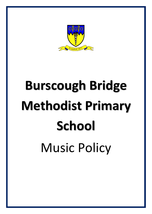

# **Burscough Bridge Methodist Primary School** Music Policy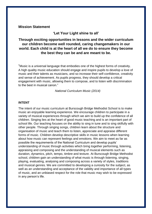# **Mission Statement**

**'Let Your Light shine to all'**

# **Through exciting opportunities in lessons and the wider curriculum our children become well rounded, caring changemakers in our world. Each child is at the heart of all we do to ensure they become the best they can be and are meant to be.**

"Music is a universal language that embodies one of the highest forms of creativity. A high quality music education should engage and inspire pupils to develop a love of music and their talents as musicians, and so increase their self-confidence, creativity and sense of achievement. As pupils progress, they should develop a critical engagement with music, allowing them to compose, and to listen with discrimination to the best in musical canon."

*National Curriculum Music (2014)*

### **INTENT**

The intent of our music curriculum at Burscough Bridge Methodist School is to make music an enjoyable learning experience. We encourage children to participate in a variety of musical experiences through which we aim to build up the confidence of all children. Singing lies at the heart of good music teaching and is an important part of school life. Our teaching focuses on the ability to sing in tune and to sing skilfully with other people. Through singing songs, children learn about the structure and organisation of music and teach them to listen, appreciate and appraise different forms of music. Children develop descriptive skills in music lessons when learning about how music can represent feelings and emotions. We aim to meet as far as possible the requirements of the National Curriculum and develop pupils' understanding of music through activities which bring together performing, listening, appraising and composing and the understanding of musical elements such as duration, dynamics, pitch, tempo, timbre and texture. At Burscough Bridge Methodist school, children gain an understanding of what music is through listening, singing, playing, evaluating, analysing and composing across a variety of styles, traditions and musical genres. We are committed to developing a curiosity for the subject, as well as an understanding and acceptance of the validity and importance of all types of music, and an unbiased respect for the role that music may wish to be expressed in any person's life.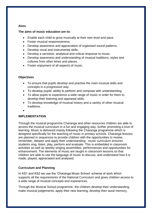# **Aims**

# **The aims of music education are to:**

- Enable each child to grow musically at their own level and pace.
- Foster musical responsiveness.
- Develop awareness and appreciation of organised sound patterns.
- Develop vocal and instrumental skills.
- Develop a sensitive, analytical and critical response to music.
- Develop awareness and understanding of musical traditions, styles and cultures from other times and places.
- Foster enjoyment of all aspects of music.

# **Objectives**

- To ensure that pupils develop and practise the main musical skills and concepts in a progressive way.
- To develop pupils' ability to perform and compose with understanding.
- To allow pupils to experience a wide range of music in order for them to develop their listening and appraisal skills.
- To develop knowledge of musical history and a variety of other musical traditions.
- $\bullet$

# **IMPLEMENTATION**

Through the musical programme Charanga and other resources children are able to access the musical curriculum in a fun and engaging way, further promoting a love of learning. Music is delivered mainly following the Charanga programme which is designed specifically for the teaching of music in primary schools. Charanga lessons are planned in sequences to provide children with the opportunities to review, remember, deepen and apply their understanding. music curriculum ensures students sing, listen, play, perform and evaluate. This is embedded in classroom activities as well as weekly singing assemblies, performances and opportunities for enhancement. The elements of music are taught in classroom lessons so that children are able to use the language of music to discuss, and understand how it is made, played, appreciated and analysed.

# **Curriculum and Planning**

In KS1 and KS2 we use the 'Charanga Music School' scheme of work which supports all the requirements of the National Curriculum and gives children access to a wide range of musical concepts and experiences.

Through the Musical School programme, the children develop their understanding, make musical judgements, apply their new learning, develop their aural memory,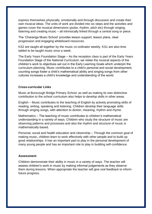express themselves physically, emotionally and through discussion and create their own musical ideas. The units of work are divided into six steps and the activities and games cover the musical dimensions (pulse, rhythm, pitch etc) through singing, listening and creating music – all intrinsically linked through a central song or piece.

The 'Charanga Music School' provides lesson support, lesson plans, clear progression and engaging whiteboard resources.

KS2 are taught all together by the music co-ordinator weekly. KS1 are also time tabled to be taught music once a week.

The Early Years Foundation Stage – As the reception class is part of the Early Years Foundation Stage of the National Curriculum, we relate the musical aspects of the children's work to objectives set out in the Early Learning Goals which underpin the curriculum planning. Music contributes to a child's personal and social development, counting songs foster a child's mathematical ability and singing songs from other cultures increases a child's knowledge and understanding of the world.

### **Cross-curricular Links**

Music at Burscough Bridge Primary School, as well as making its own distinctive contribution to the school curriculum also helps to develop skills in other areas.

English – Music contributes to the teaching of English by actively promoting skills of reading, writing, speaking and listening. Children develop their language skills through singing songs, with attention to diction, meaning, rhythm and rhyme.

Mathematics – The teaching of music contributes to children's mathematical understanding in a variety of ways. Children who study the structure of music are observing patterns and processes and also the rhythm and structure of music is mathematically based.

Personal, social and health education and citizenship – Through the common goal of making music, children learn to work effectively with other people and to build up good relationships. It has an important part to play in the personal development of many young people and has an important role to play in building self-confidence.

### **Assessment**

Children demonstrate their ability in music in a variety of ways. The teacher will assess children's work in music by making informal judgements as they observe them during lessons. When appropriate the teacher will give oral feedback to inform future progress.